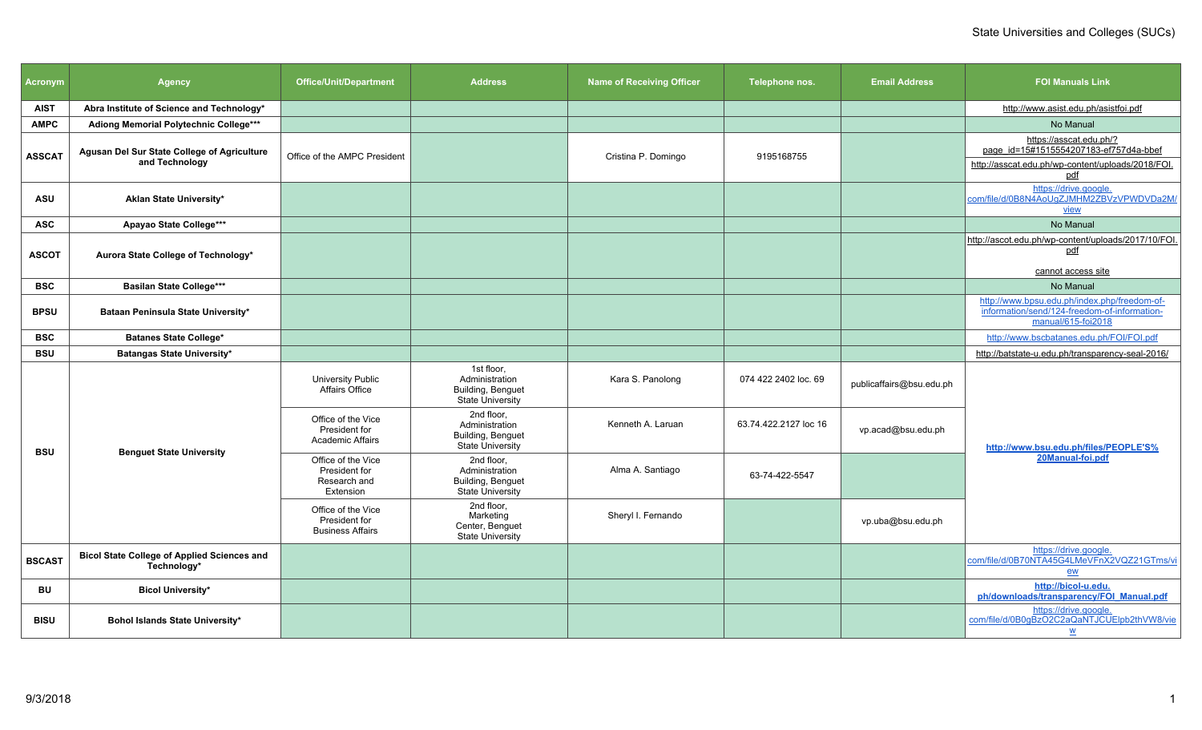| <b>Acronym</b> | <b>Agency</b>                                                        | <b>Office/Unit/Department</b>                                    | <b>Address</b>                                                               | <b>Name of Receiving Officer</b> | Telephone nos.        | <b>Email Address</b>     | <b>FOI Manuals Link</b>                                                                                                       |
|----------------|----------------------------------------------------------------------|------------------------------------------------------------------|------------------------------------------------------------------------------|----------------------------------|-----------------------|--------------------------|-------------------------------------------------------------------------------------------------------------------------------|
| <b>AIST</b>    | Abra Institute of Science and Technology*                            |                                                                  |                                                                              |                                  |                       |                          | http://www.asist.edu.ph/asistfoi.pdf                                                                                          |
| <b>AMPC</b>    | Adiong Memorial Polytechnic College***                               |                                                                  |                                                                              |                                  |                       |                          | No Manual                                                                                                                     |
| ASSCAT         | <b>Agusan Del Sur State College of Agriculture</b><br>and Technology | Office of the AMPC President                                     |                                                                              | Cristina P. Domingo              | 9195168755            |                          | https://asscat.edu.ph/?<br>page_id=15#1515554207183-ef757d4a-bbef<br>http://asscat.edu.ph/wp-content/uploads/2018/FOI.<br>pdf |
| <b>ASU</b>     | Aklan State University*                                              |                                                                  |                                                                              |                                  |                       |                          | https://drive.google.<br>com/file/d/0B8N4AoUqZJMHM2ZBVzVPWDVDa2M/<br>view                                                     |
| <b>ASC</b>     | Apayao State College***                                              |                                                                  |                                                                              |                                  |                       |                          | No Manual                                                                                                                     |
| <b>ASCOT</b>   | Aurora State College of Technology*                                  |                                                                  |                                                                              |                                  |                       |                          | http://ascot.edu.ph/wp-content/uploads/2017/10/FOI.<br>pdf<br>cannot access site                                              |
| <b>BSC</b>     | <b>Basilan State College***</b>                                      |                                                                  |                                                                              |                                  |                       |                          | No Manual                                                                                                                     |
| <b>BPSU</b>    | Bataan Peninsula State University*                                   |                                                                  |                                                                              |                                  |                       |                          | http://www.bpsu.edu.ph/index.php/freedom-of-<br>information/send/124-freedom-of-information-<br>manual/615-foi2018            |
| <b>BSC</b>     | <b>Batanes State College*</b>                                        |                                                                  |                                                                              |                                  |                       |                          | http://www.bscbatanes.edu.ph/FOI/FOI.pdf                                                                                      |
| <b>BSU</b>     | Batangas State University*                                           |                                                                  |                                                                              |                                  |                       |                          | http://batstate-u.edu.ph/transparency-seal-2016/                                                                              |
|                |                                                                      | University Public<br>Affairs Office                              | 1st floor,<br>Administration<br>Building, Benquet<br><b>State University</b> | Kara S. Panolong                 | 074 422 2402 loc. 69  | publicaffairs@bsu.edu.ph |                                                                                                                               |
| <b>BSU</b>     |                                                                      | Office of the Vice<br>President for<br><b>Academic Affairs</b>   | 2nd floor,<br>Administration<br>Building, Benguet<br>State University        | Kenneth A. Laruan                | 63.74.422.2127 loc 16 | vp.acad@bsu.edu.ph       | http://www.bsu.edu.ph/files/PEOPLE'S%                                                                                         |
|                | <b>Benguet State University</b>                                      | Office of the Vice<br>President for<br>Research and<br>Extension | 2nd floor.<br>Administration<br>Building, Benguet<br>State University        | Alma A. Santiago                 | 63-74-422-5547        |                          | 20Manual-foi.pdf                                                                                                              |
|                |                                                                      | Office of the Vice<br>President for<br><b>Business Affairs</b>   | 2nd floor.<br>Marketing<br>Center, Benguet<br><b>State University</b>        | Sheryl I. Fernando               |                       | vp.uba@bsu.edu.ph        |                                                                                                                               |
| <b>BSCAST</b>  | <b>Bicol State College of Applied Sciences and</b><br>Technology*    |                                                                  |                                                                              |                                  |                       |                          | https://drive.google.<br>com/file/d/0B70NTA45G4LMeVFnX2VQZ21GTms/vi<br>ew                                                     |
| BU             | <b>Bicol University*</b>                                             |                                                                  |                                                                              |                                  |                       |                          | http://bicol-u.edu.<br>ph/downloads/transparency/FOI_Manual.pdf                                                               |
| <b>BISU</b>    | Bohol Islands State University*                                      |                                                                  |                                                                              |                                  |                       |                          | https://drive.google.<br>com/file/d/0B0gBzO2C2aQaNTJCUElpb2thVW8/vie<br><u>W</u>                                              |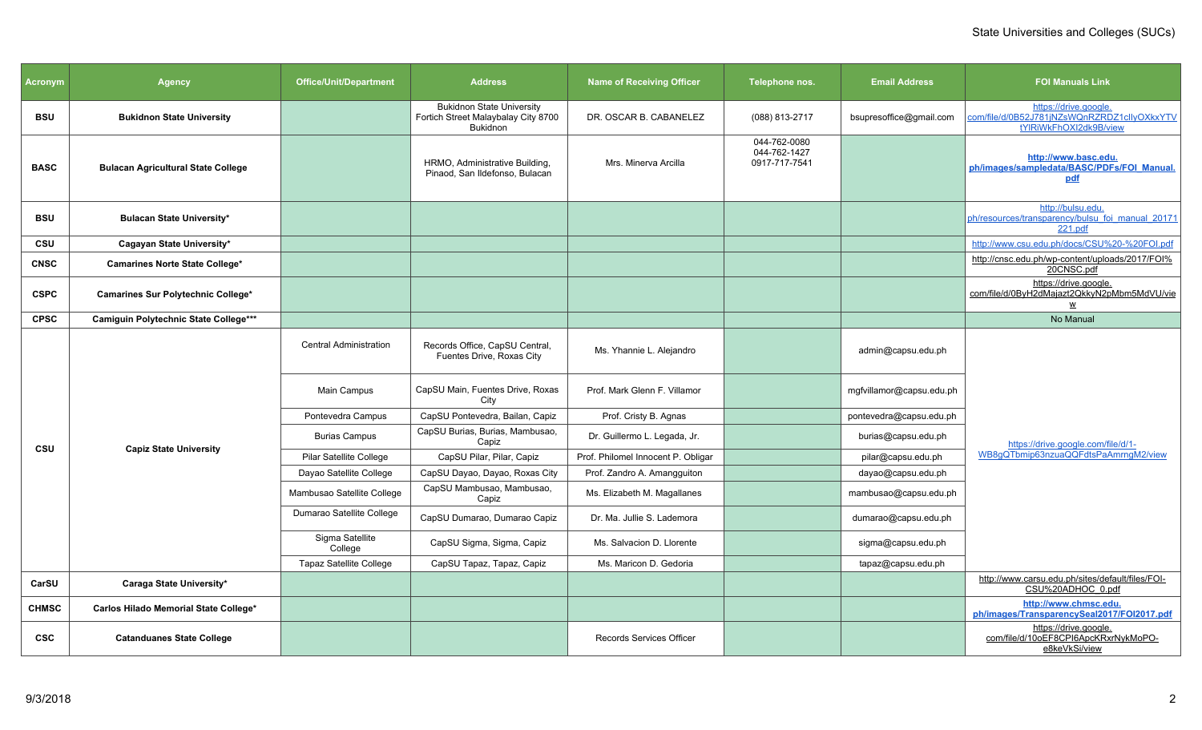| <b>Acronym</b> | <b>Agency</b>                             | <b>Office/Unit/Department</b>  | <b>Address</b>                                                                             | <b>Name of Receiving Officer</b>   | Telephone nos.                                | <b>Email Address</b>     | <b>FOI Manuals Link</b>                                                                        |
|----------------|-------------------------------------------|--------------------------------|--------------------------------------------------------------------------------------------|------------------------------------|-----------------------------------------------|--------------------------|------------------------------------------------------------------------------------------------|
| <b>BSU</b>     | <b>Bukidnon State University</b>          |                                | <b>Bukidnon State University</b><br>Fortich Street Malaybalay City 8700<br><b>Bukidnon</b> | DR. OSCAR B. CABANELEZ             | (088) 813-2717                                | bsupresoffice@gmail.com  | https://drive.google.<br>com/file/d/0B52J781jNZsWQnRZRDZ1clIyOXkxYTV<br>tYIRiWkFhOXI2dk9B/view |
| <b>BASC</b>    | <b>Bulacan Agricultural State College</b> |                                | HRMO, Administrative Building,<br>Pinaod, San Ildefonso, Bulacan                           | Mrs. Minerva Arcilla               | 044-762-0080<br>044-762-1427<br>0917-717-7541 |                          | http://www.basc.edu.<br>ph/images/sampledata/BASC/PDFs/FOI Manual.<br>pdf                      |
| <b>BSU</b>     | <b>Bulacan State University*</b>          |                                |                                                                                            |                                    |                                               |                          | http://bulsu.edu.<br>ph/resources/transparency/bulsu foi manual 20171<br>221.pdf               |
| <b>CSU</b>     | Cagayan State University*                 |                                |                                                                                            |                                    |                                               |                          | http://www.csu.edu.ph/docs/CSU%20-%20FOI.pdf                                                   |
| <b>CNSC</b>    | <b>Camarines Norte State College*</b>     |                                |                                                                                            |                                    |                                               |                          | http://cnsc.edu.ph/wp-content/uploads/2017/FOI%<br>20CNSC.pdf                                  |
| <b>CSPC</b>    | Camarines Sur Polytechnic College*        |                                |                                                                                            |                                    |                                               |                          | https://drive.google.<br>com/file/d/0ByH2dMajazt2QkkyN2pMbm5MdVU/vie<br>W                      |
| <b>CPSC</b>    | Camiguin Polytechnic State College***     |                                |                                                                                            |                                    |                                               |                          | No Manual                                                                                      |
|                |                                           | <b>Central Administration</b>  | Records Office, CapSU Central,<br>Fuentes Drive, Roxas City                                | Ms. Yhannie L. Alejandro           |                                               | admin@capsu.edu.ph       |                                                                                                |
|                |                                           | Main Campus                    | CapSU Main, Fuentes Drive, Roxas<br>City                                                   | Prof. Mark Glenn F. Villamor       |                                               | mgfvillamor@capsu.edu.ph |                                                                                                |
|                |                                           | Pontevedra Campus              | CapSU Pontevedra, Bailan, Capiz                                                            | Prof. Cristy B. Agnas              |                                               | pontevedra@capsu.edu.ph  |                                                                                                |
| CSU            | <b>Capiz State University</b>             | <b>Burias Campus</b>           | CapSU Burias, Burias, Mambusao,<br>Capiz                                                   | Dr. Guillermo L. Legada, Jr.       |                                               | burias@capsu.edu.ph      | https://drive.google.com/file/d/1-                                                             |
|                |                                           | Pilar Satellite College        | CapSU Pilar, Pilar, Capiz                                                                  | Prof. Philomel Innocent P. Obligar |                                               | pilar@capsu.edu.ph       | WB8qQTbmip63nzuaQQFdtsPaAmrnqM2/view                                                           |
|                |                                           | Dayao Satellite College        | CapSU Dayao, Dayao, Roxas City                                                             | Prof. Zandro A. Amangguiton        |                                               | dayao@capsu.edu.ph       |                                                                                                |
|                |                                           | Mambusao Satellite College     | CapSU Mambusao, Mambusao,<br>Capiz                                                         | Ms. Elizabeth M. Magallanes        |                                               | mambusao@capsu.edu.ph    |                                                                                                |
|                |                                           | Dumarao Satellite College      | CapSU Dumarao, Dumarao Capiz                                                               | Dr. Ma. Jullie S. Lademora         |                                               | dumarao@capsu.edu.ph     |                                                                                                |
|                |                                           | Sigma Satellite<br>College     | CapSU Sigma, Sigma, Capiz                                                                  | Ms. Salvacion D. Llorente          |                                               | sigma@capsu.edu.ph       |                                                                                                |
|                |                                           | <b>Tapaz Satellite College</b> | CapSU Tapaz, Tapaz, Capiz                                                                  | Ms. Maricon D. Gedoria             |                                               | tapaz@capsu.edu.ph       |                                                                                                |
| CarSU          | Caraga State University*                  |                                |                                                                                            |                                    |                                               |                          | http://www.carsu.edu.ph/sites/default/files/FOI-<br>CSU%20ADHOC 0.pdf                          |
| <b>CHMSC</b>   | Carlos Hilado Memorial State College*     |                                |                                                                                            |                                    |                                               |                          | http://www.chmsc.edu.<br>ph/images/TransparencySeal2017/FOI2017.pdf                            |
| <b>CSC</b>     | <b>Catanduanes State College</b>          |                                |                                                                                            | <b>Records Services Officer</b>    |                                               |                          | https://drive.google.<br>com/file/d/10oEF8CPI6ApcKRxrNykMoPO-<br>e8keVkSi/view                 |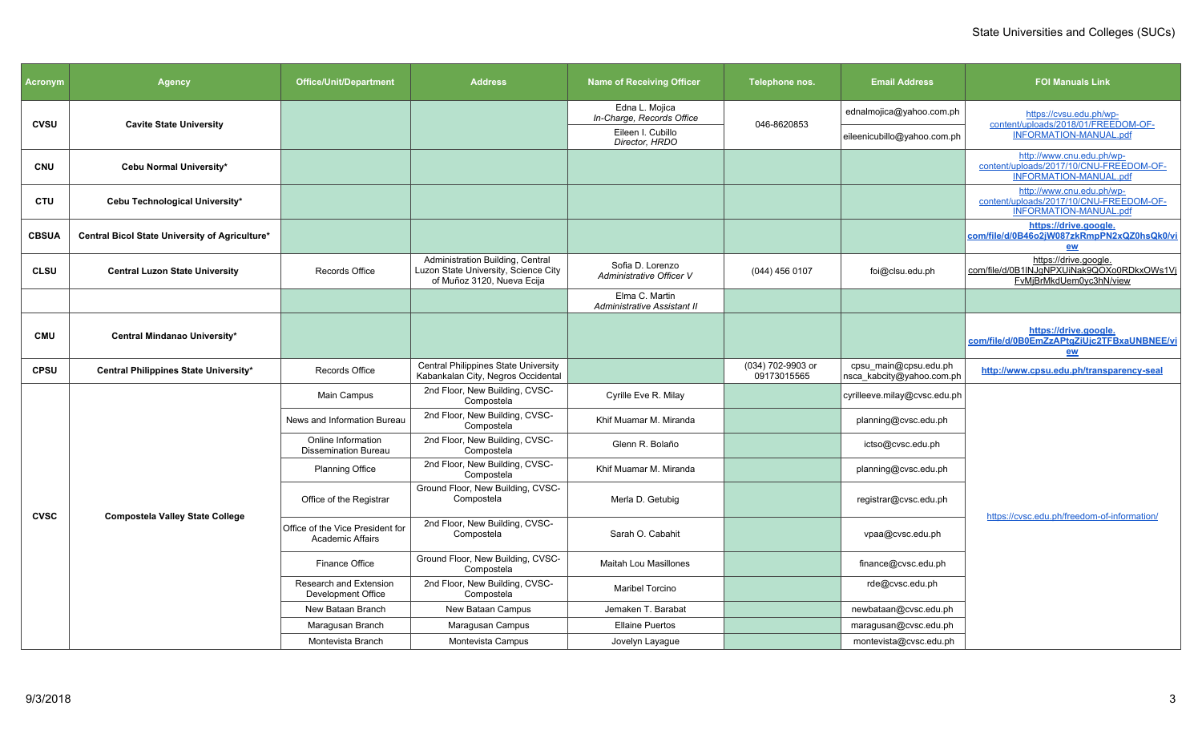| <b>Acronym</b> | <b>Agency</b>                                  | <b>Office/Unit/Department</b>                               | <b>Address</b>                                                                                         | <b>Name of Receiving Officer</b>              | Telephone nos.                   | <b>Email Address</b>                               | <b>FOI Manuals Link</b>                                                                               |
|----------------|------------------------------------------------|-------------------------------------------------------------|--------------------------------------------------------------------------------------------------------|-----------------------------------------------|----------------------------------|----------------------------------------------------|-------------------------------------------------------------------------------------------------------|
| <b>CVSU</b>    | <b>Cavite State University</b>                 |                                                             |                                                                                                        | Edna L. Mojica<br>In-Charge, Records Office   | 046-8620853                      | ednalmojica@yahoo.com.ph                           | https://cvsu.edu.ph/wp-<br>content/uploads/2018/01/FREEDOM-OF-                                        |
|                |                                                |                                                             |                                                                                                        | Eileen I. Cubillo<br>Director, HRDO           |                                  | eileenicubillo@yahoo.com.ph                        | <b>INFORMATION-MANUAL.pdf</b>                                                                         |
| <b>CNU</b>     | Cebu Normal University*                        |                                                             |                                                                                                        |                                               |                                  |                                                    | http://www.cnu.edu.ph/wp-<br>content/uploads/2017/10/CNU-FREEDOM-OF-<br><b>INFORMATION-MANUAL.pdf</b> |
| <b>CTU</b>     | Cebu Technological University*                 |                                                             |                                                                                                        |                                               |                                  |                                                    | http://www.cnu.edu.ph/wp-<br>content/uploads/2017/10/CNU-FREEDOM-OF-<br>INFORMATION-MANUAL.pdf        |
| <b>CBSUA</b>   | Central Bicol State University of Agriculture* |                                                             |                                                                                                        |                                               |                                  |                                                    | https://drive.google.<br>com/file/d/0B46o2jW087zkRmpPN2xQZ0hsQk0/vi<br>ew                             |
| <b>CLSU</b>    | <b>Central Luzon State University</b>          | Records Office                                              | Administration Building, Central<br>Luzon State University, Science City<br>of Muñoz 3120, Nueva Ecija | Sofia D. Lorenzo<br>Administrative Officer V  | (044) 456 0107                   | foi@clsu.edu.ph                                    | https://drive.google.<br>com/file/d/0B1INJqNPXUiNak9QOXo0RDkxOWs1Vi<br>FvMjBrMkdUem0yc3hN/view        |
|                |                                                |                                                             |                                                                                                        | Elma C. Martin<br>Administrative Assistant II |                                  |                                                    |                                                                                                       |
| <b>CMU</b>     | Central Mindanao University*                   |                                                             |                                                                                                        |                                               |                                  |                                                    | https://drive.google.<br>com/file/d/0B0EmZzAPtgZiUjc2TFBxaUNBNEE/vi<br>ew                             |
| <b>CPSU</b>    | Central Philippines State University*          | Records Office                                              | Central Philippines State University<br>Kabankalan City, Negros Occidental                             |                                               | (034) 702-9903 or<br>09173015565 | cpsu main@cpsu.edu.ph<br>nsca_kabcity@yahoo.com.ph | http://www.cpsu.edu.ph/transparency-seal                                                              |
|                |                                                | Main Campus                                                 | 2nd Floor, New Building, CVSC-<br>Compostela                                                           | Cyrille Eve R. Milay                          |                                  | cyrilleeve.milay@cvsc.edu.ph                       |                                                                                                       |
|                |                                                | News and Information Bureau                                 | 2nd Floor, New Building, CVSC-<br>Compostela                                                           | Khif Muamar M. Miranda                        |                                  | planning@cvsc.edu.ph                               |                                                                                                       |
|                |                                                | Online Information<br><b>Dissemination Bureau</b>           | 2nd Floor, New Building, CVSC-<br>Compostela                                                           | Glenn R. Bolaño                               |                                  | ictso@cvsc.edu.ph                                  |                                                                                                       |
|                |                                                | <b>Planning Office</b>                                      | 2nd Floor, New Building, CVSC-<br>Compostela                                                           | Khif Muamar M. Miranda                        |                                  | planning@cvsc.edu.ph                               |                                                                                                       |
| <b>CVSC</b>    | <b>Compostela Valley State College</b>         | Office of the Registrar                                     | Ground Floor, New Building, CVSC-<br>Compostela                                                        | Merla D. Getubig                              |                                  | registrar@cvsc.edu.ph                              | https://cvsc.edu.ph/freedom-of-information/                                                           |
|                |                                                | Office of the Vice President for<br><b>Academic Affairs</b> | 2nd Floor, New Building, CVSC-<br>Compostela                                                           | Sarah O. Cabahit                              |                                  | vpaa@cvsc.edu.ph                                   |                                                                                                       |
|                |                                                | Finance Office                                              | Ground Floor, New Building, CVSC-<br>Compostela                                                        | <b>Maitah Lou Masillones</b>                  |                                  | finance@cvsc.edu.ph                                |                                                                                                       |
|                |                                                | <b>Research and Extension</b><br>Development Office         | 2nd Floor, New Building, CVSC-<br>Compostela                                                           | <b>Maribel Torcino</b>                        |                                  | rde@cvsc.edu.ph                                    |                                                                                                       |
|                |                                                | New Bataan Branch                                           | New Bataan Campus                                                                                      | Jemaken T. Barabat                            |                                  | newbataan@cvsc.edu.ph                              |                                                                                                       |
|                |                                                | Maragusan Branch                                            | Maragusan Campus                                                                                       | <b>Ellaine Puertos</b>                        |                                  | maragusan@cvsc.edu.ph                              |                                                                                                       |
|                |                                                | Montevista Branch                                           | Montevista Campus                                                                                      | Jovelyn Layague                               |                                  | montevista@cvsc.edu.ph                             |                                                                                                       |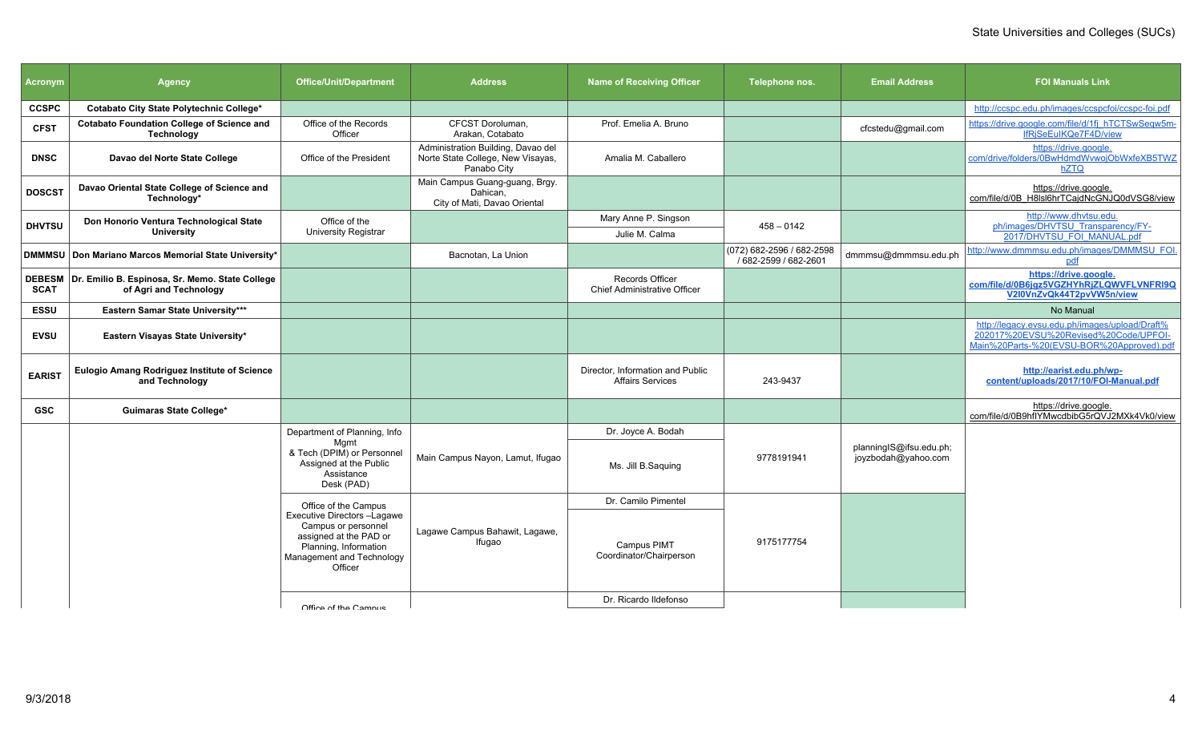| <b>Acronym</b> | <b>Agency</b>                                                                    | <b>Office/Unit/Department</b>                                                                                                                 | <b>Address</b>                                                                         | <b>Name of Receiving Officer</b>                            | Telephone nos.                                     | <b>Email Address</b>                           | <b>FOI Manuals Link</b>                                                                                                              |
|----------------|----------------------------------------------------------------------------------|-----------------------------------------------------------------------------------------------------------------------------------------------|----------------------------------------------------------------------------------------|-------------------------------------------------------------|----------------------------------------------------|------------------------------------------------|--------------------------------------------------------------------------------------------------------------------------------------|
| <b>CCSPC</b>   | Cotabato City State Polytechnic College*                                         |                                                                                                                                               |                                                                                        |                                                             |                                                    |                                                | http://ccspc.edu.ph/images/ccspcfoi/ccspc-foi.pdf                                                                                    |
| <b>CFST</b>    | <b>Cotabato Foundation College of Science and</b><br><b>Technology</b>           | Office of the Records<br>Officer                                                                                                              | CFCST Doroluman,<br>Arakan, Cotabato                                                   | Prof. Emelia A. Bruno                                       |                                                    | cfcstedu@gmail.com                             | https://drive.google.com/file/d/1fj_hTCTSwSeqw5m-<br>IfRiSeEuIKQe7F4D/view                                                           |
| <b>DNSC</b>    | Davao del Norte State College                                                    | Office of the President                                                                                                                       | Administration Building, Davao del<br>Norte State College, New Visayas,<br>Panabo City | Amalia M. Caballero                                         |                                                    |                                                | https://drive.google.<br>com/drive/folders/0BwHdmdWvwoiObWxfeXB5TWZ<br>hZTQ                                                          |
| <b>DOSCST</b>  | Davao Oriental State College of Science and<br>Technology*                       |                                                                                                                                               | Main Campus Guang-guang, Brgy.<br>Dahican.<br>City of Mati, Davao Oriental             |                                                             |                                                    |                                                | https://drive.google.<br>com/file/d/0B H8IsI6hrTCaidNcGNJQ0dVSG8/view                                                                |
| <b>DHVTSU</b>  | Don Honorio Ventura Technological State                                          | Office of the                                                                                                                                 |                                                                                        | Mary Anne P. Singson                                        | $458 - 0142$                                       |                                                | http://www.dhvtsu.edu.<br>ph/images/DHVTSU Transparency/FY-                                                                          |
|                | <b>University</b>                                                                | <b>University Registrar</b>                                                                                                                   |                                                                                        | Julie M. Calma                                              |                                                    |                                                | 2017/DHVTSU FOI MANUAL.pdf                                                                                                           |
|                | DMMMSU   Don Mariano Marcos Memorial State University*                           |                                                                                                                                               | Bacnotan. La Union                                                                     |                                                             | (072) 682-2596 / 682-2598<br>/ 682-2599 / 682-2601 | dmmmsu@dmmmsu.edu.ph                           | http://www.dmmmsu.edu.ph/images/DMMMSU_FOI.<br>pdf                                                                                   |
| <b>SCAT</b>    | DEBESM Dr. Emilio B. Espinosa, Sr. Memo. State College<br>of Agri and Technology |                                                                                                                                               |                                                                                        | Records Officer<br>Chief Administrative Officer             |                                                    |                                                | https://drive.google.<br>com/file/d/0B6jgz5VGZHYhRjZLQWVFLVNFRI9Q<br>V2I0VnZvQk44T2pvVW5n/view                                       |
| <b>ESSU</b>    | Eastern Samar State University***                                                |                                                                                                                                               |                                                                                        |                                                             |                                                    |                                                | No Manual                                                                                                                            |
| <b>EVSU</b>    | Eastern Visayas State University*                                                |                                                                                                                                               |                                                                                        |                                                             |                                                    |                                                | http://legacy.evsu.edu.ph/images/upload/Draft%<br>202017%20EVSU%20Revised%20Code/UPFOI-<br>Main%20Parts-%20(EVSU-BOR%20Approved).pdf |
| <b>EARIST</b>  | Eulogio Amang Rodriguez Institute of Science<br>and Technology                   |                                                                                                                                               |                                                                                        | Director, Information and Public<br><b>Affairs Services</b> | 243-9437                                           |                                                | http://earist.edu.ph/wp-<br>content/uploads/2017/10/FOI-Manual.pdf                                                                   |
| <b>GSC</b>     | <b>Guimaras State College*</b>                                                   |                                                                                                                                               |                                                                                        |                                                             |                                                    |                                                | https://drive.google.<br>com/file/d/0B9hflYMwcdbibG5rQVJ2MXk4Vk0/view                                                                |
|                |                                                                                  | Department of Planning, Info                                                                                                                  |                                                                                        | Dr. Joyce A. Bodah                                          |                                                    |                                                |                                                                                                                                      |
|                |                                                                                  | Mamt<br>& Tech (DPIM) or Personnel<br>Assigned at the Public<br>Assistance<br>Desk (PAD)                                                      | Main Campus Nayon, Lamut, Ifugao                                                       | Ms. Jill B.Saguing                                          | 9778191941                                         | planningIS@ifsu.edu.ph;<br>joyzbodah@yahoo.com |                                                                                                                                      |
|                |                                                                                  | Office of the Campus                                                                                                                          |                                                                                        | Dr. Camilo Pimentel                                         |                                                    |                                                |                                                                                                                                      |
|                |                                                                                  | Executive Directors -Lagawe<br>Campus or personnel<br>assigned at the PAD or<br>Planning, Information<br>Management and Technology<br>Officer | Lagawe Campus Bahawit, Lagawe,<br>Ifugao                                               | Campus PIMT<br>Coordinator/Chairperson                      | 9175177754                                         |                                                |                                                                                                                                      |
|                |                                                                                  |                                                                                                                                               |                                                                                        | Dr. Ricardo Ildefonso                                       |                                                    |                                                |                                                                                                                                      |
|                |                                                                                  | Office of the Campus                                                                                                                          |                                                                                        |                                                             |                                                    |                                                |                                                                                                                                      |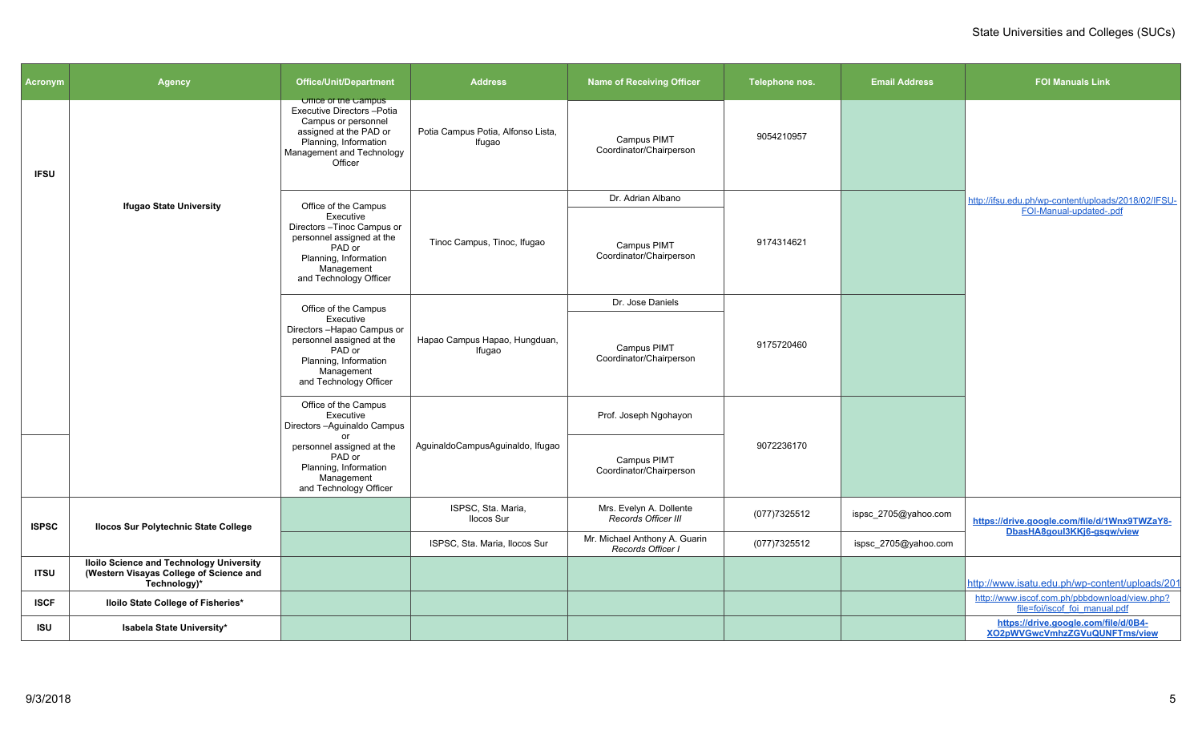| Acronym      | <b>Agency</b>                                                                                              | <b>Office/Unit/Department</b>                                                                                                                                                     | <b>Address</b>                               | <b>Name of Receiving Officer</b>                   | Telephone nos. | <b>Email Address</b>    | <b>FOI Manuals Link</b>                                                        |
|--------------|------------------------------------------------------------------------------------------------------------|-----------------------------------------------------------------------------------------------------------------------------------------------------------------------------------|----------------------------------------------|----------------------------------------------------|----------------|-------------------------|--------------------------------------------------------------------------------|
| <b>IFSU</b>  |                                                                                                            | <b>UTTICE OF THE Campus</b><br><b>Executive Directors-Potia</b><br>Campus or personnel<br>assigned at the PAD or<br>Planning, Information<br>Management and Technology<br>Officer | Potia Campus Potia, Alfonso Lista,<br>Ifugao | Campus PIMT<br>Coordinator/Chairperson             | 9054210957     |                         |                                                                                |
|              | <b>Ifugao State University</b>                                                                             | Office of the Campus                                                                                                                                                              |                                              | Dr. Adrian Albano                                  |                |                         | http://ifsu.edu.ph/wp-content/uploads/2018/02/IFSU-                            |
|              |                                                                                                            | Executive<br>Directors-Tinoc Campus or<br>personnel assigned at the<br>PAD or<br>Planning, Information<br>Management<br>and Technology Officer                                    | Tinoc Campus, Tinoc, Ifugao                  | Campus PIMT<br>Coordinator/Chairperson             | 9174314621     | FOI-Manual-updated-.pdf |                                                                                |
|              |                                                                                                            | Office of the Campus                                                                                                                                                              |                                              | Dr. Jose Daniels                                   |                |                         |                                                                                |
|              |                                                                                                            | Executive<br>Directors-Hapao Campus or<br>personnel assigned at the<br>PAD or<br>Planning, Information<br>Management<br>and Technology Officer                                    | Hapao Campus Hapao, Hungduan,<br>Ifugao      | Campus PIMT<br>Coordinator/Chairperson             | 9175720460     |                         |                                                                                |
|              |                                                                                                            | Office of the Campus<br>Executive<br>Directors - Aguinaldo Campus                                                                                                                 |                                              | Prof. Joseph Ngohayon                              |                |                         |                                                                                |
|              |                                                                                                            | personnel assigned at the<br>PAD or<br>Planning, Information<br>Management<br>and Technology Officer                                                                              | AguinaldoCampusAguinaldo, Ifugao             | Campus PIMT<br>Coordinator/Chairperson             | 9072236170     |                         |                                                                                |
| <b>ISPSC</b> | <b>Ilocos Sur Polytechnic State College</b>                                                                |                                                                                                                                                                                   | ISPSC, Sta. Maria,<br>Ilocos Sur             | Mrs. Evelyn A. Dollente<br>Records Officer III     | (077)7325512   | ispsc_2705@yahoo.com    | https://drive.google.com/file/d/1Wnx9TWZaY8-<br>DbasHA8goul3KKj6-gsgw/view     |
|              |                                                                                                            |                                                                                                                                                                                   | ISPSC, Sta. Maria, Ilocos Sur                | Mr. Michael Anthony A. Guarin<br>Records Officer I | (077)7325512   | ispsc_2705@yahoo.com    |                                                                                |
| <b>ITSU</b>  | <b>Iloilo Science and Technology University</b><br>(Western Visayas College of Science and<br>Technology)* |                                                                                                                                                                                   |                                              |                                                    |                |                         | http://www.isatu.edu.ph/wp-content/uploads/201                                 |
| <b>ISCF</b>  | Iloilo State College of Fisheries*                                                                         |                                                                                                                                                                                   |                                              |                                                    |                |                         | http://www.iscof.com.ph/pbbdownload/view.php?<br>file=foi/iscof_foi_manual.pdf |
| <b>ISU</b>   | Isabela State University*                                                                                  |                                                                                                                                                                                   |                                              |                                                    |                |                         | https://drive.google.com/file/d/0B4-<br>XO2pWVGwcVmhzZGVuQUNFTms/view          |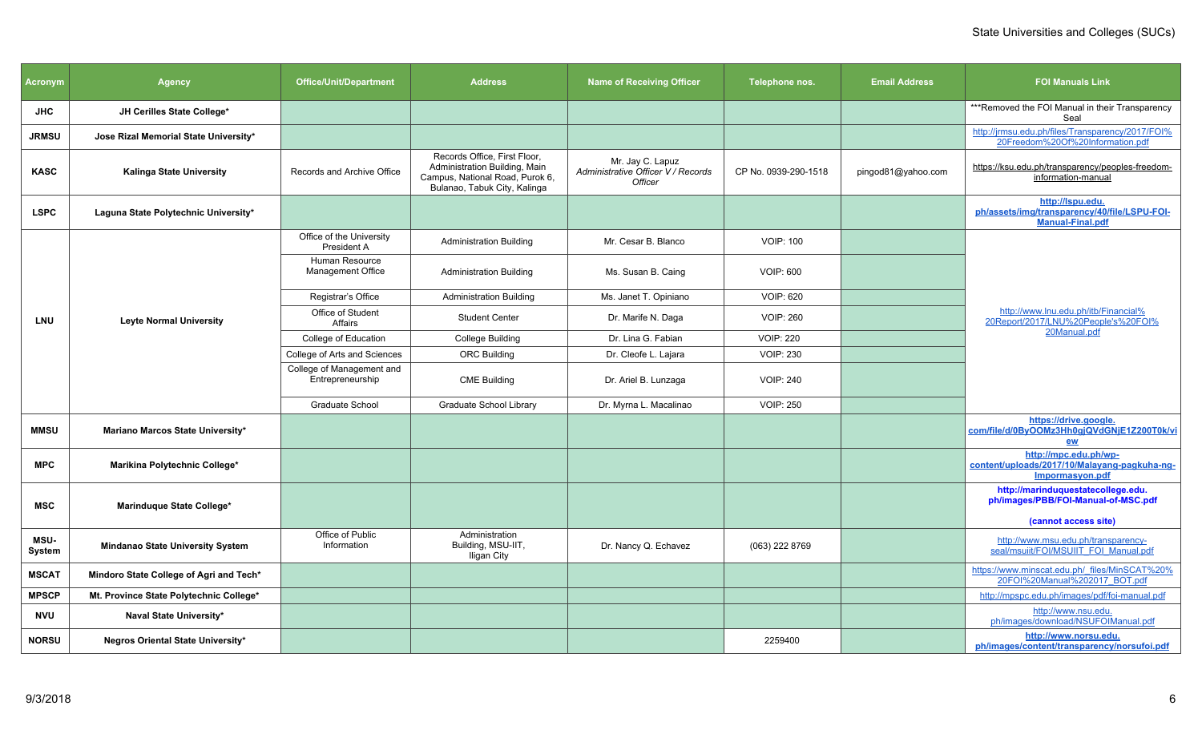| <b>Acronym</b>        | <b>Agency</b>                           | <b>Office/Unit/Department</b>                 | <b>Address</b>                                                                                                                   | <b>Name of Receiving Officer</b>                                  | Telephone nos.       | <b>Email Address</b> | <b>FOI Manuals Link</b>                                                                     |
|-----------------------|-----------------------------------------|-----------------------------------------------|----------------------------------------------------------------------------------------------------------------------------------|-------------------------------------------------------------------|----------------------|----------------------|---------------------------------------------------------------------------------------------|
| <b>JHC</b>            | JH Cerilles State College*              |                                               |                                                                                                                                  |                                                                   |                      |                      | ***Removed the FOI Manual in their Transparency<br>Seal                                     |
| <b>JRMSU</b>          | Jose Rizal Memorial State University*   |                                               |                                                                                                                                  |                                                                   |                      |                      | http://jrmsu.edu.ph/files/Transparency/2017/FOI%<br>20Freedom%20Of%20Information.pdf        |
| <b>KASC</b>           | <b>Kalinga State University</b>         | Records and Archive Office                    | Records Office, First Floor,<br>Administration Building, Main<br>Campus, National Road, Purok 6,<br>Bulanao, Tabuk City, Kalinga | Mr. Jay C. Lapuz<br>Administrative Officer V / Records<br>Officer | CP No. 0939-290-1518 | pingod81@yahoo.com   | https://ksu.edu.ph/transparency/peoples-freedom-<br>information-manual                      |
| <b>LSPC</b>           | Laguna State Polytechnic University*    |                                               |                                                                                                                                  |                                                                   |                      |                      | http://lspu.edu.<br>ph/assets/img/transparency/40/file/LSPU-FOI-<br><b>Manual-Final.pdf</b> |
|                       |                                         | Office of the University<br>President A       | <b>Administration Building</b>                                                                                                   | Mr. Cesar B. Blanco                                               | <b>VOIP: 100</b>     |                      |                                                                                             |
|                       |                                         | Human Resource<br>Management Office           | <b>Administration Building</b>                                                                                                   | Ms. Susan B. Caing                                                | <b>VOIP: 600</b>     |                      |                                                                                             |
|                       | <b>Leyte Normal University</b>          | Registrar's Office                            | <b>Administration Building</b>                                                                                                   | Ms. Janet T. Opiniano                                             | <b>VOIP: 620</b>     |                      |                                                                                             |
| LNU                   |                                         | Office of Student<br>Affairs                  | <b>Student Center</b>                                                                                                            | Dr. Marife N. Daga                                                | <b>VOIP: 260</b>     |                      | http://www.lnu.edu.ph/itb/Financial%<br>20Report/2017/LNU%20People's%20FOI%                 |
|                       |                                         | College of Education                          | College Building                                                                                                                 | Dr. Lina G. Fabian                                                | <b>VOIP: 220</b>     |                      | 20Manual.pdf                                                                                |
|                       |                                         | College of Arts and Sciences                  | <b>ORC Building</b>                                                                                                              | Dr. Cleofe L. Lajara                                              | <b>VOIP: 230</b>     |                      |                                                                                             |
|                       |                                         | College of Management and<br>Entrepreneurship | <b>CME Building</b>                                                                                                              | Dr. Ariel B. Lunzaga                                              | <b>VOIP: 240</b>     |                      |                                                                                             |
|                       |                                         | <b>Graduate School</b>                        | Graduate School Library                                                                                                          | Dr. Myrna L. Macalinao                                            | <b>VOIP: 250</b>     |                      |                                                                                             |
| <b>MMSU</b>           | Mariano Marcos State University*        |                                               |                                                                                                                                  |                                                                   |                      |                      | https://drive.google.<br>com/file/d/0ByOOMz3Hh0gjQVdGNjE1Z200T0k/vi<br>ew                   |
| <b>MPC</b>            | Marikina Polytechnic College*           |                                               |                                                                                                                                  |                                                                   |                      |                      | http://mpc.edu.ph/wp-<br>content/uploads/2017/10/Malayang-pagkuha-ng-<br>Impormasyon.pdf    |
| <b>MSC</b>            | Marinduque State College*               |                                               |                                                                                                                                  |                                                                   |                      |                      | http://marinduquestatecollege.edu.<br>ph/images/PBB/FOI-Manual-of-MSC.pdf                   |
|                       |                                         | Office of Public                              | Administration                                                                                                                   |                                                                   |                      |                      | (cannot access site)                                                                        |
| <b>MSU-</b><br>System | <b>Mindanao State University System</b> | Information                                   | Building, MSU-IIT,<br>Iligan City                                                                                                | Dr. Nancy Q. Echavez                                              | (063) 222 8769       |                      | http://www.msu.edu.ph/transparency-<br>seal/msuiit/FOI/MSUIIT FOI Manual.pdf                |
| <b>MSCAT</b>          | Mindoro State College of Agri and Tech* |                                               |                                                                                                                                  |                                                                   |                      |                      | https://www.minscat.edu.ph/_files/MinSCAT%20%<br>20FOI%20Manual%202017_BOT.pdf              |
| <b>MPSCP</b>          | Mt. Province State Polytechnic College* |                                               |                                                                                                                                  |                                                                   |                      |                      | http://mpspc.edu.ph/images/pdf/foi-manual.pdf                                               |
| <b>NVU</b>            | <b>Naval State University*</b>          |                                               |                                                                                                                                  |                                                                   |                      |                      | http://www.nsu.edu.<br>ph/images/download/NSUFOIManual.pdf                                  |
| <b>NORSU</b>          | Negros Oriental State University*       |                                               |                                                                                                                                  |                                                                   | 2259400              |                      | http://www.norsu.edu.<br>ph/images/content/transparency/norsufoi.pdf                        |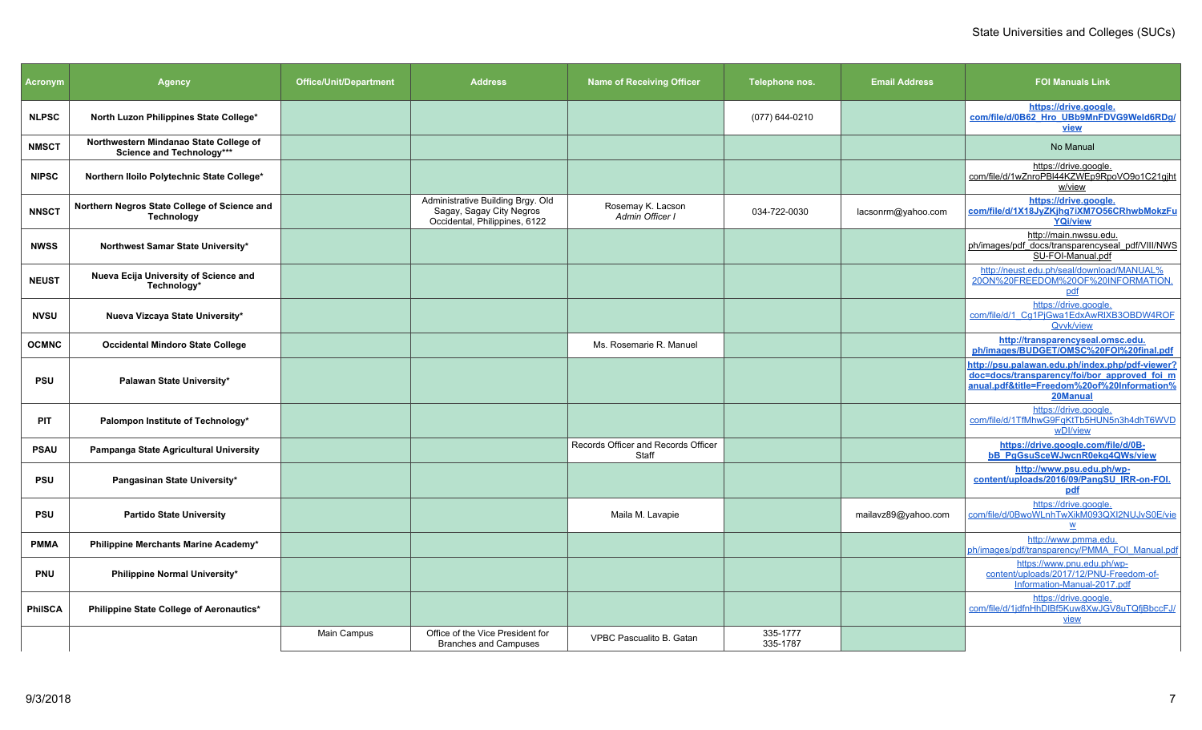| <b>Acronym</b> | <b>Agency</b>                                                       | <b>Office/Unit/Department</b> | <b>Address</b>                                                                                 | <b>Name of Receiving Officer</b>             | Telephone nos.       | <b>Email Address</b> | <b>FOI Manuals Link</b>                                                                                                                                    |
|----------------|---------------------------------------------------------------------|-------------------------------|------------------------------------------------------------------------------------------------|----------------------------------------------|----------------------|----------------------|------------------------------------------------------------------------------------------------------------------------------------------------------------|
| <b>NLPSC</b>   | North Luzon Philippines State College*                              |                               |                                                                                                |                                              | (077) 644-0210       |                      | https://drive.google.<br>com/file/d/0B62 Hro UBb9MnFDVG9Weld6RDq/<br><b>view</b>                                                                           |
| <b>NMSCT</b>   | Northwestern Mindanao State College of<br>Science and Technology*** |                               |                                                                                                |                                              |                      |                      | No Manual                                                                                                                                                  |
| <b>NIPSC</b>   | Northern Iloilo Polytechnic State College*                          |                               |                                                                                                |                                              |                      |                      | https://drive.google.<br>com/file/d/1wZnroPBI44KZWEp9RpoVO9o1C21gjht<br>w/view                                                                             |
| <b>NNSCT</b>   | Northern Negros State College of Science and<br>Technology          |                               | Administrative Building Brgy. Old<br>Sagay, Sagay City Negros<br>Occidental, Philippines, 6122 | Rosemay K. Lacson<br>Admin Officer I         | 034-722-0030         | lacsonrm@yahoo.com   | https://drive.google.<br>com/file/d/1X18JyZKjhg7iXM7O56CRhwbMokzFu<br><b>YQi/view</b>                                                                      |
| <b>NWSS</b>    | Northwest Samar State University*                                   |                               |                                                                                                |                                              |                      |                      | http://main.nwssu.edu.<br>ph/images/pdf docs/transparencyseal pdf/VIII/NWS<br>SU-FOI-Manual.pdf                                                            |
| <b>NEUST</b>   | Nueva Ecija University of Science and<br>Technology*                |                               |                                                                                                |                                              |                      |                      | http://neust.edu.ph/seal/download/MANUAL%<br>20ON%20FREEDOM%20OF%20INFORMATION<br>pdf                                                                      |
| <b>NVSU</b>    | Nueva Vizcaya State University*                                     |                               |                                                                                                |                                              |                      |                      | https://drive.google.<br>com/file/d/1 Cq1PjGwa1EdxAwRIXB3OBDW4ROF<br>Qvvk/view                                                                             |
| <b>OCMNC</b>   | <b>Occidental Mindoro State College</b>                             |                               |                                                                                                | Ms. Rosemarie R. Manuel                      |                      |                      | http://transparencyseal.omsc.edu.<br>ph/images/BUDGET/OMSC%20FOI%20final.pdf                                                                               |
| <b>PSU</b>     | Palawan State University*                                           |                               |                                                                                                |                                              |                      |                      | http://psu.palawan.edu.ph/index.php/pdf-viewer?<br>doc=docs/transparency/foi/bor approved foi m<br>anual.pdf&title=Freedom%20of%20Information%<br>20Manual |
| PIT            | Palompon Institute of Technology*                                   |                               |                                                                                                |                                              |                      |                      | https://drive.google.<br>com/file/d/1TfMhwG9FqKtTb5HUN5n3h4dhT6WVD<br>wDI/view                                                                             |
| <b>PSAU</b>    | Pampanga State Agricultural University                              |                               |                                                                                                | Records Officer and Records Officer<br>Staff |                      |                      | https://drive.google.com/file/d/0B-<br><b>bB_PgGsuSceWJwcnR0ekg4QWs/view</b>                                                                               |
| <b>PSU</b>     | Pangasinan State University*                                        |                               |                                                                                                |                                              |                      |                      | http://www.psu.edu.ph/wp-<br>content/uploads/2016/09/PangSU IRR-on-FOI.<br>pdf                                                                             |
| <b>PSU</b>     | <b>Partido State University</b>                                     |                               |                                                                                                | Maila M. Lavapie                             |                      | mailavz89@yahoo.com  | https://drive.google.<br>com/file/d/0BwoWLnhTwXikM093QXI2NUJvS0E/vie<br>$\mathbf W$                                                                        |
| <b>PMMA</b>    | Philippine Merchants Marine Academy*                                |                               |                                                                                                |                                              |                      |                      | http://www.pmma.edu.<br>ph/images/pdf/transparency/PMMA FOI Manual.pdf                                                                                     |
| <b>PNU</b>     | Philippine Normal University*                                       |                               |                                                                                                |                                              |                      |                      | https://www.pnu.edu.ph/wp-<br>content/uploads/2017/12/PNU-Freedom-of-<br>Information-Manual-2017.pdf                                                       |
| <b>PhilSCA</b> | Philippine State College of Aeronautics*                            |                               |                                                                                                |                                              |                      |                      | https://drive.google.<br>com/file/d/1jdfnHhDIBf5Kuw8XwJGV8uTQfjBbccFJ/<br>view                                                                             |
|                |                                                                     | Main Campus                   | Office of the Vice President for<br><b>Branches and Campuses</b>                               | VPBC Pascualito B. Gatan                     | 335-1777<br>335-1787 |                      |                                                                                                                                                            |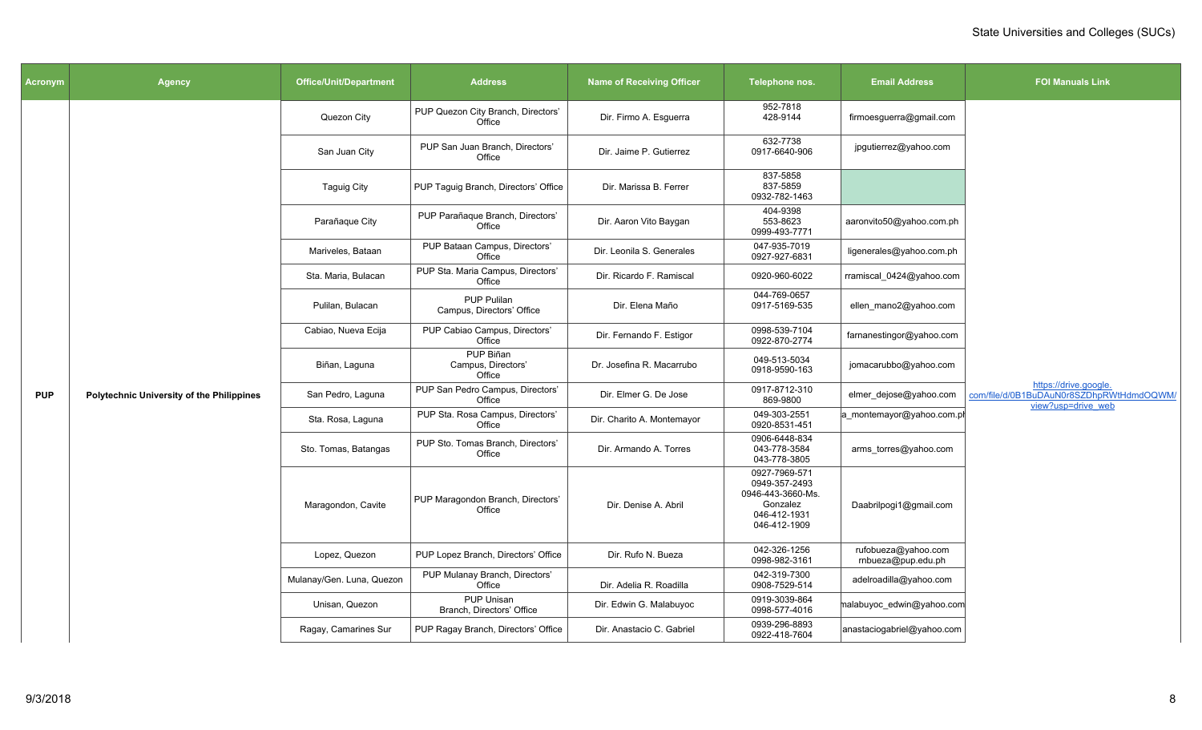| Acronym    | Agency                                           | <b>Office/Unit/Department</b> | <b>Address</b>                                  | <b>Name of Receiving Officer</b> | Telephone nos.                                                                                  | <b>Email Address</b>                      | <b>FOI Manuals Link</b>                                                                 |
|------------|--------------------------------------------------|-------------------------------|-------------------------------------------------|----------------------------------|-------------------------------------------------------------------------------------------------|-------------------------------------------|-----------------------------------------------------------------------------------------|
|            |                                                  | Quezon City                   | PUP Quezon City Branch, Directors'<br>Office    | Dir. Firmo A. Esguerra           | 952-7818<br>428-9144                                                                            | firmoesguerra@gmail.com                   |                                                                                         |
|            |                                                  | San Juan City                 | PUP San Juan Branch, Directors'<br>Office       | Dir. Jaime P. Gutierrez          | 632-7738<br>0917-6640-906                                                                       | jpgutierrez@yahoo.com                     |                                                                                         |
|            |                                                  | <b>Taguig City</b>            | PUP Taguig Branch, Directors' Office            | Dir. Marissa B. Ferrer           | 837-5858<br>837-5859<br>0932-782-1463                                                           |                                           |                                                                                         |
|            |                                                  | Parañaque City                | PUP Parañaque Branch, Directors'<br>Office      | Dir. Aaron Vito Baygan           | 404-9398<br>553-8623<br>0999-493-7771                                                           | aaronvito50@yahoo.com.ph                  |                                                                                         |
|            |                                                  | Mariveles, Bataan             | PUP Bataan Campus, Directors'<br>Office         | Dir. Leonila S. Generales        | 047-935-7019<br>0927-927-6831                                                                   | ligenerales@yahoo.com.ph                  |                                                                                         |
|            |                                                  | Sta. Maria, Bulacan           | PUP Sta. Maria Campus, Directors'<br>Office     | Dir. Ricardo F. Ramiscal         | 0920-960-6022                                                                                   | rramiscal 0424@yahoo.com                  |                                                                                         |
|            |                                                  | Pulilan, Bulacan              | <b>PUP Pulilan</b><br>Campus, Directors' Office | Dir. Elena Maño                  | 044-769-0657<br>0917-5169-535                                                                   | ellen_mano2@yahoo.com                     |                                                                                         |
|            |                                                  | Cabiao, Nueva Ecija           | PUP Cabiao Campus, Directors'<br>Office         | Dir. Fernando F. Estigor         | 0998-539-7104<br>0922-870-2774                                                                  | farnanestingor@yahoo.com                  |                                                                                         |
|            |                                                  | Biñan, Laguna                 | PUP Biñan<br>Campus, Directors'<br>Office       | Dr. Josefina R. Macarrubo        | 049-513-5034<br>0918-9590-163                                                                   | jomacarubbo@yahoo.com                     |                                                                                         |
| <b>PUP</b> | <b>Polytechnic University of the Philippines</b> | San Pedro, Laguna             | PUP San Pedro Campus, Directors'<br>Office      | Dir. Elmer G. De Jose            | 0917-8712-310<br>869-9800                                                                       | elmer dejose@yahoo.com                    | https://drive.google.<br>com/file/d/0B1BuDAuN0r8SZDhpRWtHdmdOQWM/<br>view?usp=drive_web |
|            |                                                  | Sta. Rosa, Laguna             | PUP Sta. Rosa Campus, Directors'<br>Office      | Dir. Charito A. Montemayor       | 049-303-2551<br>0920-8531-451                                                                   | a_montemayor@yahoo.com.pl                 |                                                                                         |
|            |                                                  | Sto. Tomas, Batangas          | PUP Sto. Tomas Branch, Directors'<br>Office     | Dir. Armando A. Torres           | 0906-6448-834<br>043-778-3584<br>043-778-3805                                                   | arms torres@yahoo.com                     |                                                                                         |
|            |                                                  | Maragondon, Cavite            | PUP Maragondon Branch, Directors'<br>Office     | Dir. Denise A. Abril             | 0927-7969-571<br>0949-357-2493<br>0946-443-3660-Ms.<br>Gonzalez<br>046-412-1931<br>046-412-1909 | Daabrilpogi1@gmail.com                    |                                                                                         |
|            |                                                  | Lopez, Quezon                 | PUP Lopez Branch, Directors' Office             | Dir. Rufo N. Bueza               | 042-326-1256<br>0998-982-3161                                                                   | rufobueza@yahoo.com<br>rnbueza@pup.edu.ph |                                                                                         |
|            |                                                  | Mulanay/Gen. Luna, Quezon     | PUP Mulanay Branch, Directors'<br>Office        | Dir. Adelia R. Roadilla          | 042-319-7300<br>0908-7529-514                                                                   | adelroadilla@yahoo.com                    |                                                                                         |
|            |                                                  | Unisan, Quezon                | PUP Unisan<br>Branch, Directors' Office         | Dir. Edwin G. Malabuyoc          | 0919-3039-864<br>0998-577-4016                                                                  | malabuyoc edwin@yahoo.com                 |                                                                                         |
|            |                                                  | Ragay, Camarines Sur          | PUP Ragay Branch, Directors' Office             | Dir. Anastacio C. Gabriel        | 0939-296-8893<br>0922-418-7604                                                                  | anastaciogabriel@yahoo.com                |                                                                                         |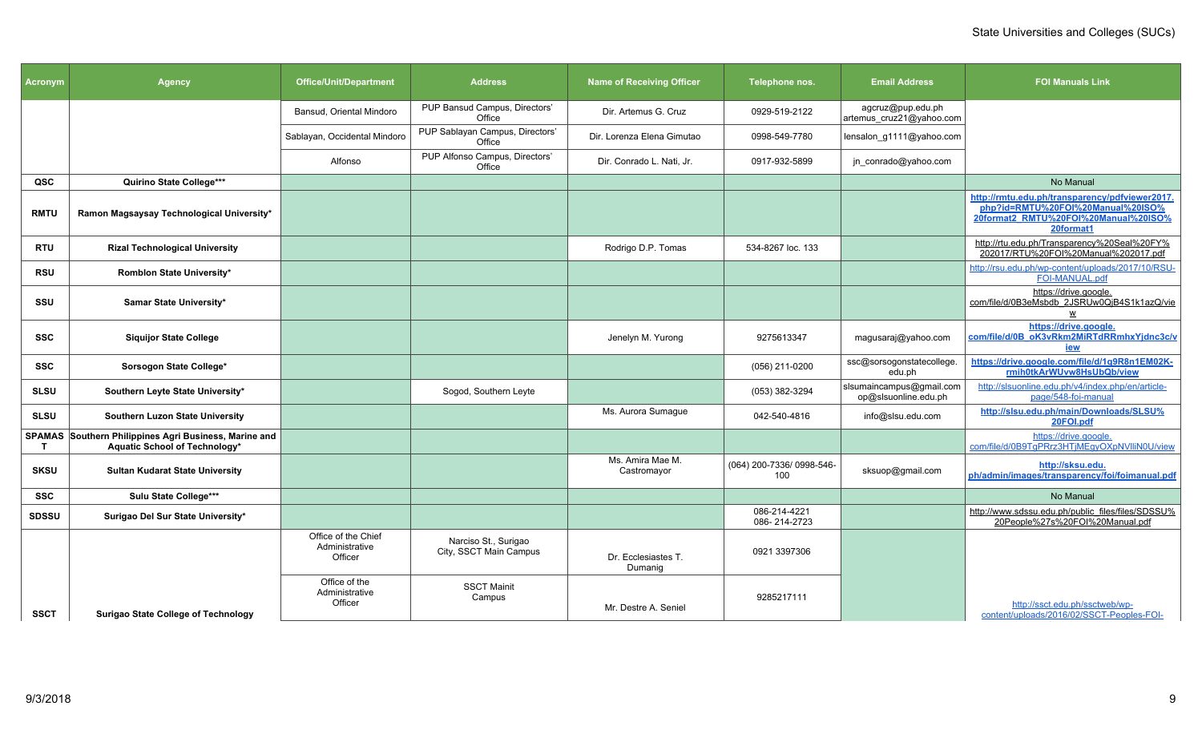| <b>Acronym</b> | <b>Agency</b>                                                                          | <b>Office/Unit/Department</b>                    | <b>Address</b>                                 | <b>Name of Receiving Officer</b> | Telephone nos.                   | <b>Email Address</b>                             | <b>FOI Manuals Link</b>                                                                                                                  |
|----------------|----------------------------------------------------------------------------------------|--------------------------------------------------|------------------------------------------------|----------------------------------|----------------------------------|--------------------------------------------------|------------------------------------------------------------------------------------------------------------------------------------------|
|                |                                                                                        | Bansud, Oriental Mindoro                         | PUP Bansud Campus, Directors'<br>Office        | Dir. Artemus G. Cruz             | 0929-519-2122                    | agcruz@pup.edu.ph<br>artemus_cruz21@yahoo.com    |                                                                                                                                          |
|                |                                                                                        | Sablayan, Occidental Mindoro                     | PUP Sablayan Campus, Directors'<br>Office      | Dir. Lorenza Elena Gimutao       | 0998-549-7780                    | lensalon g1111@yahoo.com                         |                                                                                                                                          |
|                |                                                                                        | Alfonso                                          | PUP Alfonso Campus, Directors'<br>Office       | Dir. Conrado L. Nati, Jr.        | 0917-932-5899                    | jn_conrado@yahoo.com                             |                                                                                                                                          |
| QSC            | Quirino State College***                                                               |                                                  |                                                |                                  |                                  |                                                  | No Manual                                                                                                                                |
| <b>RMTU</b>    | Ramon Magsaysay Technological University*                                              |                                                  |                                                |                                  |                                  |                                                  | http://rmtu.edu.ph/transparency/pdfviewer2017.<br>php?id=RMTU%20FOI%20Manual%20ISO%<br>20format2_RMTU%20FOI%20Manual%20ISO%<br>20format1 |
| RTU            | <b>Rizal Technological University</b>                                                  |                                                  |                                                | Rodrigo D.P. Tomas               | 534-8267 loc. 133                |                                                  | http://rtu.edu.ph/Transparency%20Seal%20FY%<br>202017/RTU%20FOI%20Manual%202017.pdf                                                      |
| <b>RSU</b>     | Romblon State University*                                                              |                                                  |                                                |                                  |                                  |                                                  | http://rsu.edu.ph/wp-content/uploads/2017/10/RSU-<br>FOI-MANUAL.pdf                                                                      |
| SSU            | Samar State University*                                                                |                                                  |                                                |                                  |                                  |                                                  | https://drive.google.<br>com/file/d/0B3eMsbdb_2JSRUw0QjB4S1k1azQ/vie                                                                     |
| <b>SSC</b>     | <b>Siquijor State College</b>                                                          |                                                  |                                                | Jenelyn M. Yurong                | 9275613347                       | magusaraj@yahoo.com                              | https://drive.google.<br>com/file/d/0B oK3vRkm2MiRTdRRmhxYjdnc3c/v<br><u>iew</u>                                                         |
| SSC            | Sorsogon State College*                                                                |                                                  |                                                |                                  | (056) 211-0200                   | ssc@sorsogonstatecollege.<br>edu.ph              | https://drive.google.com/file/d/1g9R8n1EM02K-<br>rmih0tkArWUvw8HsUbQb/view                                                               |
| <b>SLSU</b>    | Southern Leyte State University*                                                       |                                                  | Sogod, Southern Leyte                          |                                  | (053) 382-3294                   | slsumaincampus@gmail.com<br>op@slsuonline.edu.ph | http://slsuonline.edu.ph/v4/index.php/en/article-<br>page/548-foi-manual                                                                 |
| <b>SLSU</b>    | Southern Luzon State University                                                        |                                                  |                                                | Ms. Aurora Sumague               | 042-540-4816                     | info@slsu.edu.com                                | http://slsu.edu.ph/main/Downloads/SLSU%<br>20FOI.pdf                                                                                     |
| T              | SPAMAS Southern Philippines Agri Business, Marine and<br>Aquatic School of Technology* |                                                  |                                                |                                  |                                  |                                                  | https://drive.google.<br>com/file/d/0B9TgPRrz3HTjMEgyOXpNVlliN0U/view                                                                    |
| <b>SKSU</b>    | <b>Sultan Kudarat State University</b>                                                 |                                                  |                                                | Ms. Amira Mae M.<br>Castromayor  | (064) 200-7336/ 0998-546-<br>100 | sksuop@gmail.com                                 | http://sksu.edu.<br>ph/admin/images/transparency/foi/foimanual.pdf                                                                       |
| <b>SSC</b>     | Sulu State College***                                                                  |                                                  |                                                |                                  |                                  |                                                  | No Manual                                                                                                                                |
| <b>SDSSU</b>   | Surigao Del Sur State University*                                                      |                                                  |                                                |                                  | 086-214-4221<br>086-214-2723     |                                                  | http://www.sdssu.edu.ph/public_files/files/SDSSU%<br>20People%27s%20FOI%20Manual.pdf                                                     |
|                |                                                                                        | Office of the Chief<br>Administrative<br>Officer | Narciso St., Surigao<br>City, SSCT Main Campus | Dr. Ecclesiastes T.<br>Dumanig   | 0921 3397306                     |                                                  |                                                                                                                                          |
| <b>SSCT</b>    | <b>Surigao State College of Technology</b>                                             | Office of the<br>Administrative<br>Officer       | <b>SSCT Mainit</b><br>Campus                   | Mr. Destre A. Seniel             | 9285217111                       |                                                  | http://ssct.edu.ph/ssctweb/wp-<br>content/uploads/2016/02/SSCT-Peoples-FOI-                                                              |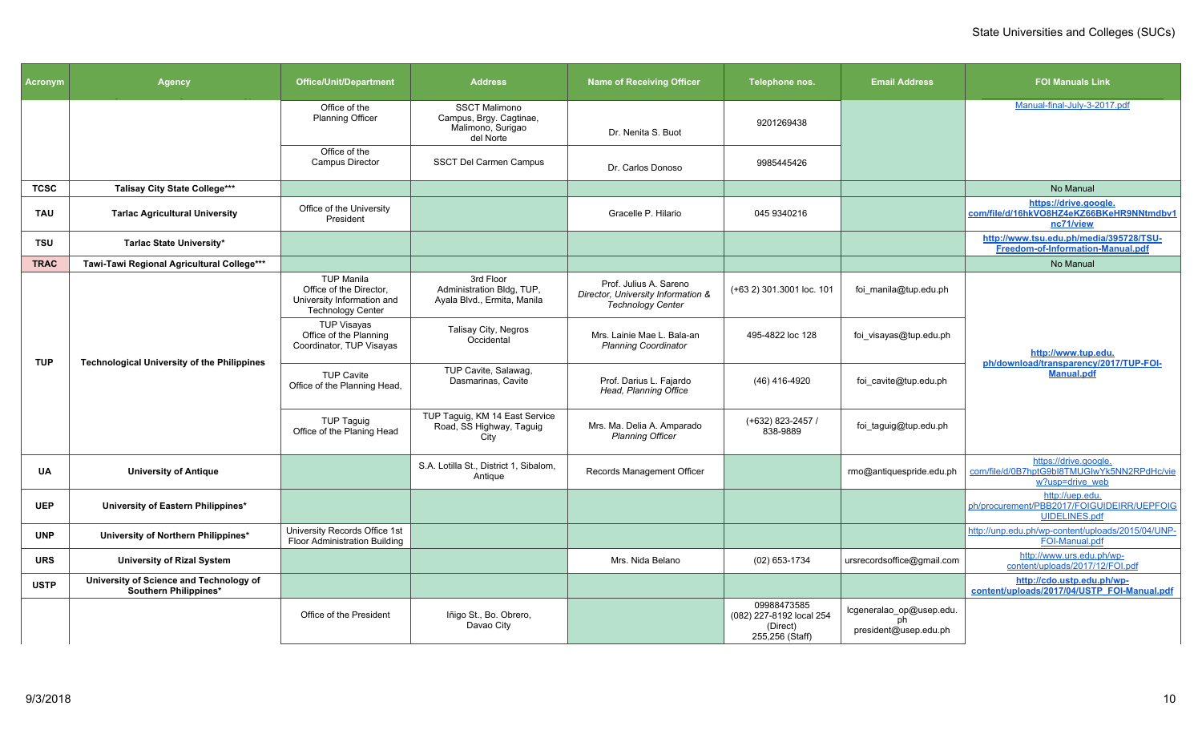| Acronym     | <b>Agency</b>                                                    | <b>Office/Unit/Department</b>                                                                          | <b>Address</b>                                                                    | <b>Name of Receiving Officer</b>                                                         | Telephone nos.                                                         | <b>Email Address</b>                                    | <b>FOI Manuals Link</b>                                                                 |
|-------------|------------------------------------------------------------------|--------------------------------------------------------------------------------------------------------|-----------------------------------------------------------------------------------|------------------------------------------------------------------------------------------|------------------------------------------------------------------------|---------------------------------------------------------|-----------------------------------------------------------------------------------------|
|             |                                                                  | Office of the<br><b>Planning Officer</b>                                                               | <b>SSCT Malimono</b><br>Campus, Brgy. Cagtinae,<br>Malimono, Surigao<br>del Norte | Dr. Nenita S. Buot                                                                       | 9201269438                                                             |                                                         | Manual-final-July-3-2017.pdf                                                            |
|             |                                                                  | Office of the<br><b>Campus Director</b>                                                                | SSCT Del Carmen Campus                                                            | Dr. Carlos Donoso                                                                        | 9985445426                                                             |                                                         |                                                                                         |
| <b>TCSC</b> | <b>Talisay City State College***</b>                             |                                                                                                        |                                                                                   |                                                                                          |                                                                        |                                                         | No Manual                                                                               |
| <b>TAU</b>  | <b>Tarlac Agricultural University</b>                            | Office of the University<br>President                                                                  |                                                                                   | Gracelle P. Hilario                                                                      | 045 9340216                                                            |                                                         | https://drive.google.<br>com/file/d/16hkVO8HZ4eKZ66BKeHR9NNtmdbv1<br>nc71/view          |
| <b>TSU</b>  | Tarlac State University*                                         |                                                                                                        |                                                                                   |                                                                                          |                                                                        |                                                         | http://www.tsu.edu.ph/media/395728/TSU-<br>Freedom-of-Information-Manual.pdf            |
| <b>TRAC</b> | Tawi-Tawi Regional Agricultural College***                       |                                                                                                        |                                                                                   |                                                                                          |                                                                        |                                                         | No Manual                                                                               |
|             |                                                                  | <b>TUP Manila</b><br>Office of the Director,<br>University Information and<br><b>Technology Center</b> | 3rd Floor<br>Administration Bldg, TUP,<br>Ayala Blvd., Ermita, Manila             | Prof. Julius A. Sareno<br>Director, University Information &<br><b>Technology Center</b> | (+63 2) 301.3001 loc. 101                                              | foi manila@tup.edu.ph                                   |                                                                                         |
|             | <b>Technological University of the Philippines</b>               | <b>TUP Visayas</b><br>Office of the Planning<br>Coordinator, TUP Visayas                               | Talisay City, Negros<br>Occidental                                                | Mrs. Lainie Mae L. Bala-an<br><b>Planning Coordinator</b>                                | 495-4822 loc 128                                                       | foi visayas@tup.edu.ph                                  | http://www.tup.edu.                                                                     |
| <b>TUP</b>  |                                                                  | <b>TUP Cavite</b><br>Office of the Planning Head,                                                      | TUP Cavite, Salawag,<br>Dasmarinas, Cavite                                        | Prof. Darius L. Fajardo<br>Head, Planning Office                                         | (46) 416-4920                                                          | foi cavite@tup.edu.ph                                   | ph/download/transparency/2017/TUP-FOI-<br><b>Manual.pdf</b>                             |
|             |                                                                  | <b>TUP Taguig</b><br>Office of the Planing Head                                                        | TUP Taguig, KM 14 East Service<br>Road, SS Highway, Taguig<br>City                | Mrs. Ma. Delia A. Amparado<br><b>Planning Officer</b>                                    | (+632) 823-2457 /<br>838-9889                                          | foi_taguig@tup.edu.ph                                   |                                                                                         |
| UA          | <b>University of Antique</b>                                     |                                                                                                        | S.A. Lotilla St., District 1, Sibalom.<br>Antique                                 | Records Management Officer                                                               |                                                                        | rmo@antiquespride.edu.ph                                | https://drive.google.<br>com/file/d/0B7hptG9bl8TMUGIwYk5NN2RPdHc/vie<br>w?usp=drive web |
| <b>UEP</b>  | University of Eastern Philippines*                               |                                                                                                        |                                                                                   |                                                                                          |                                                                        |                                                         | http://uep.edu.<br>ph/procurement/PBB2017/FOIGUIDEIRR/UEPFOIG<br><b>UIDELINES.pdf</b>   |
| <b>UNP</b>  | University of Northern Philippines*                              | University Records Office 1st<br>Floor Administration Building                                         |                                                                                   |                                                                                          |                                                                        |                                                         | http://unp.edu.ph/wp-content/uploads/2015/04/UNP-<br>FOI-Manual.pdf                     |
| <b>URS</b>  | <b>University of Rizal System</b>                                |                                                                                                        |                                                                                   | Mrs. Nida Belano                                                                         | (02) 653-1734                                                          | ursrecordsoffice@gmail.com                              | http://www.urs.edu.ph/wp-<br>content/uploads/2017/12/FOI.pdf                            |
| <b>USTP</b> | University of Science and Technology of<br>Southern Philippines* |                                                                                                        |                                                                                   |                                                                                          |                                                                        |                                                         | http://cdo.ustp.edu.ph/wp-<br>content/uploads/2017/04/USTP_FOI-Manual.pdf               |
|             |                                                                  | Office of the President                                                                                | Iñigo St., Bo. Obrero,<br>Davao City                                              |                                                                                          | 09988473585<br>(082) 227-8192 local 254<br>(Direct)<br>255,256 (Staff) | lcgeneralao_op@usep.edu.<br>ph<br>president@usep.edu.ph |                                                                                         |